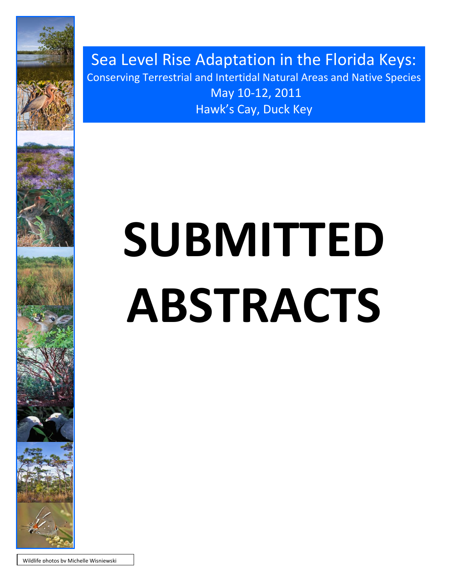

Sea Level Rise Adaptation in the Florida Keys: Conserving Terrestrial and Intertidal Natural Areas and Native Species May 10-12, 2011 Hawk's Cay, Duck Key

# **SUBMITTED ABSTRACTS**

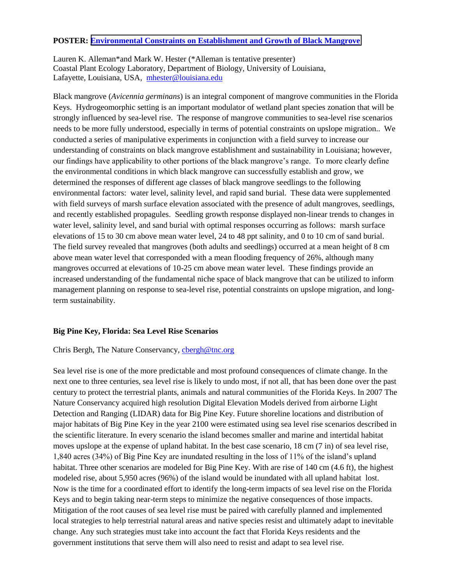## **POSTER: [Environmental Constraints on Establishment and Growth of Black Mangrove](Poster%20PDFs/Alleman%20Black%20Mangrove%20Restoration%20Template%5b1%5d.pdf)**

Lauren K. Alleman\*and Mark W. Hester (\*Alleman is tentative presenter) Coastal Plant Ecology Laboratory, Department of Biology, University of Louisiana, Lafayette, Louisiana, USA, [mhester@louisiana.edu](mailto:mhester@louisiana.edu)

Black mangrove (*Avicennia germinans*) is an integral component of mangrove communities in the Florida Keys. Hydrogeomorphic setting is an important modulator of wetland plant species zonation that will be strongly influenced by sea-level rise. The response of mangrove communities to sea-level rise scenarios needs to be more fully understood, especially in terms of potential constraints on upslope migration.. We conducted a series of manipulative experiments in conjunction with a field survey to increase our understanding of constraints on black mangrove establishment and sustainability in Louisiana; however, our findings have applicability to other portions of the black mangrove"s range. To more clearly define the environmental conditions in which black mangrove can successfully establish and grow, we determined the responses of different age classes of black mangrove seedlings to the following environmental factors: water level, salinity level, and rapid sand burial. These data were supplemented with field surveys of marsh surface elevation associated with the presence of adult mangroves, seedlings, and recently established propagules. Seedling growth response displayed non-linear trends to changes in water level, salinity level, and sand burial with optimal responses occurring as follows: marsh surface elevations of 15 to 30 cm above mean water level, 24 to 48 ppt salinity, and 0 to 10 cm of sand burial. The field survey revealed that mangroves (both adults and seedlings) occurred at a mean height of 8 cm above mean water level that corresponded with a mean flooding frequency of 26%, although many mangroves occurred at elevations of 10-25 cm above mean water level. These findings provide an increased understanding of the fundamental niche space of black mangrove that can be utilized to inform management planning on response to sea-level rise, potential constraints on upslope migration, and longterm sustainability.

#### **Big Pine Key, Florida: Sea Level Rise Scenarios**

#### Chris Bergh, The Nature Conservancy, [cbergh@tnc.org](mailto:cbergh@tnc.org)

Sea level rise is one of the more predictable and most profound consequences of climate change. In the next one to three centuries, sea level rise is likely to undo most, if not all, that has been done over the past century to protect the terrestrial plants, animals and natural communities of the Florida Keys. In 2007 The Nature Conservancy acquired high resolution Digital Elevation Models derived from airborne Light Detection and Ranging (LIDAR) data for Big Pine Key. Future shoreline locations and distribution of major habitats of Big Pine Key in the year 2100 were estimated using sea level rise scenarios described in the scientific literature. In every scenario the island becomes smaller and marine and intertidal habitat moves upslope at the expense of upland habitat. In the best case scenario, 18 cm (7 in) of sea level rise, 1,840 acres (34%) of Big Pine Key are inundated resulting in the loss of 11% of the island"s upland habitat. Three other scenarios are modeled for Big Pine Key. With are rise of 140 cm (4.6 ft), the highest modeled rise, about 5,950 acres (96%) of the island would be inundated with all upland habitat lost. Now is the time for a coordinated effort to identify the long-term impacts of sea level rise on the Florida Keys and to begin taking near-term steps to minimize the negative consequences of those impacts. Mitigation of the root causes of sea level rise must be paired with carefully planned and implemented local strategies to help terrestrial natural areas and native species resist and ultimately adapt to inevitable change. Any such strategies must take into account the fact that Florida Keys residents and the government institutions that serve them will also need to resist and adapt to sea level rise.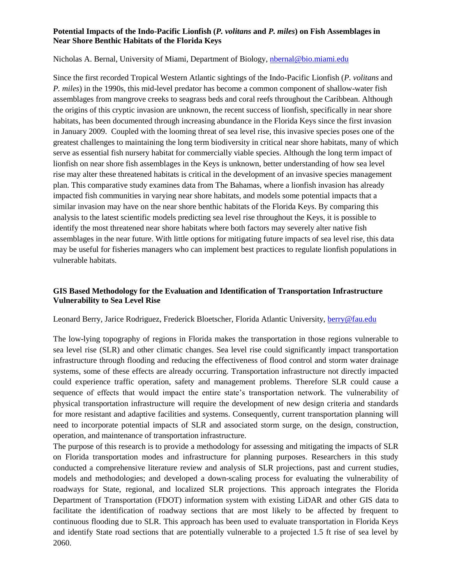## **Potential Impacts of the Indo-Pacific Lionfish (***P. volitans* **and** *P. miles***) on Fish Assemblages in Near Shore Benthic Habitats of the Florida Keys**

#### Nicholas A. Bernal, University of Miami, Department of Biology, [nbernal@bio.miami.edu](mailto:nbernal@bio.miami.edu)

Since the first recorded Tropical Western Atlantic sightings of the Indo-Pacific Lionfish (*P. volitans* and *P. miles*) in the 1990s, this mid-level predator has become a common component of shallow-water fish assemblages from mangrove creeks to seagrass beds and coral reefs throughout the Caribbean. Although the origins of this cryptic invasion are unknown, the recent success of lionfish, specifically in near shore habitats, has been documented through increasing abundance in the Florida Keys since the first invasion in January 2009. Coupled with the looming threat of sea level rise, this invasive species poses one of the greatest challenges to maintaining the long term biodiversity in critical near shore habitats, many of which serve as essential fish nursery habitat for commercially viable species. Although the long term impact of lionfish on near shore fish assemblages in the Keys is unknown, better understanding of how sea level rise may alter these threatened habitats is critical in the development of an invasive species management plan. This comparative study examines data from The Bahamas, where a lionfish invasion has already impacted fish communities in varying near shore habitats, and models some potential impacts that a similar invasion may have on the near shore benthic habitats of the Florida Keys. By comparing this analysis to the latest scientific models predicting sea level rise throughout the Keys, it is possible to identify the most threatened near shore habitats where both factors may severely alter native fish assemblages in the near future. With little options for mitigating future impacts of sea level rise, this data may be useful for fisheries managers who can implement best practices to regulate lionfish populations in vulnerable habitats.

## **GIS Based Methodology for the Evaluation and Identification of Transportation Infrastructure Vulnerability to Sea Level Rise**

#### Leonard Berry, Jarice Rodriguez, Frederick Bloetscher, Florida Atlantic University, [berry@fau.edu](mailto:berry@fau.edu)

The low-lying topography of regions in Florida makes the transportation in those regions vulnerable to sea level rise (SLR) and other climatic changes. Sea level rise could significantly impact transportation infrastructure through flooding and reducing the effectiveness of flood control and storm water drainage systems, some of these effects are already occurring. Transportation infrastructure not directly impacted could experience traffic operation, safety and management problems. Therefore SLR could cause a sequence of effects that would impact the entire state's transportation network. The vulnerability of physical transportation infrastructure will require the development of new design criteria and standards for more resistant and adaptive facilities and systems. Consequently, current transportation planning will need to incorporate potential impacts of SLR and associated storm surge, on the design, construction, operation, and maintenance of transportation infrastructure.

The purpose of this research is to provide a methodology for assessing and mitigating the impacts of SLR on Florida transportation modes and infrastructure for planning purposes. Researchers in this study conducted a comprehensive literature review and analysis of SLR projections, past and current studies, models and methodologies; and developed a down-scaling process for evaluating the vulnerability of roadways for State, regional, and localized SLR projections. This approach integrates the Florida Department of Transportation (FDOT) information system with existing LiDAR and other GIS data to facilitate the identification of roadway sections that are most likely to be affected by frequent to continuous flooding due to SLR. This approach has been used to evaluate transportation in Florida Keys and identify State road sections that are potentially vulnerable to a projected 1.5 ft rise of sea level by 2060.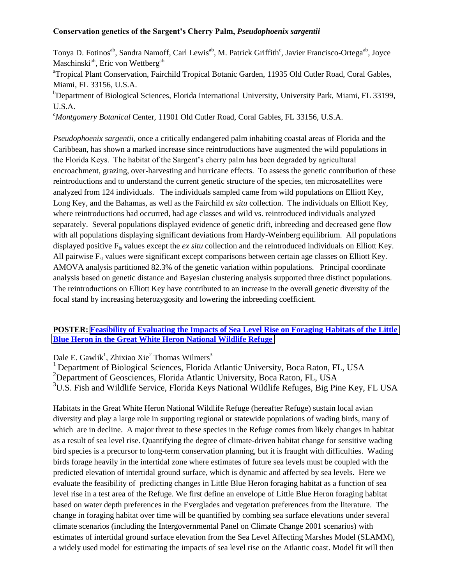## **Conservation genetics of the Sargent's Cherry Palm,** *Pseudophoenix sargentii*

Tonya D. Fotinos<sup>ab</sup>, Sandra Namoff, Carl Lewis<sup>ab</sup>, M. Patrick Griffith<sup>c</sup>, Javier Francisco-Ortega<sup>ab</sup>, Joyce Maschinski<sup>ab</sup>, Eric von Wettberg<sup>ab</sup>

<sup>a</sup>Tropical Plant Conservation, Fairchild Tropical Botanic Garden, 11935 Old Cutler Road, Coral Gables, Miami, FL 33156, U.S.A.

<sup>b</sup>Department of Biological Sciences, Florida International University, University Park, Miami, FL 33199, U.S.A.

*<sup>c</sup>Montgomery Botanical* Center, 11901 Old Cutler Road, Coral Gables, FL 33156, U.S.A.

*Pseudophoenix sargentii*, once a critically endangered palm inhabiting coastal areas of Florida and the Caribbean, has shown a marked increase since reintroductions have augmented the wild populations in the Florida Keys. The habitat of the Sargent"s cherry palm has been degraded by agricultural encroachment, grazing, over-harvesting and hurricane effects. To assess the genetic contribution of these reintroductions and to understand the current genetic structure of the species, ten microsatellites were analyzed from 124 individuals. The individuals sampled came from wild populations on Elliott Key, Long Key, and the Bahamas, as well as the Fairchild *ex situ* collection. The individuals on Elliott Key, where reintroductions had occurred, had age classes and wild vs. reintroduced individuals analyzed separately. Several populations displayed evidence of genetic drift, inbreeding and decreased gene flow with all populations displaying significant deviations from Hardy-Weinberg equilibrium. All populations displayed positive Fis values except the *ex situ* collection and the reintroduced individuals on Elliott Key. All pairwise  $F_{st}$  values were significant except comparisons between certain age classes on Elliott Key. AMOVA analysis partitioned 82.3% of the genetic variation within populations. Principal coordinate analysis based on genetic distance and Bayesian clustering analysis supported three distinct populations. The reintroductions on Elliott Key have contributed to an increase in the overall genetic diversity of the focal stand by increasing heterozygosity and lowering the inbreeding coefficient.

## **POSTER: [Feasibility of Evaluating the Impacts of Sea Level Rise on Foraging Habitats of the Little](Poster PDFs/Gawlick-Keys-SLR-BlueHeron-Habitat.pdf)  [Blue Heron in the Great White Heron National Wildlife Refuge](Poster PDFs/Gawlick-Keys-SLR-BlueHeron-Habitat.pdf)**

Dale E. Gawlik<sup>1</sup>, Zhixiao Xie<sup>2</sup> Thomas Wilmers<sup>3</sup>

<sup>1</sup> Department of Biological Sciences, Florida Atlantic University, Boca Raton, FL, USA  $^{2}$ Department of Geosciences, Florida Atlantic University, Boca Raton, FL, USA <sup>3</sup>U.S. Fish and Wildlife Service, Florida Keys National Wildlife Refuges, Big Pine Key, FL USA

Habitats in the Great White Heron National Wildlife Refuge (hereafter Refuge) sustain local avian diversity and play a large role in supporting regional or statewide populations of wading birds, many of which are in decline. A major threat to these species in the Refuge comes from likely changes in habitat as a result of sea level rise. Quantifying the degree of climate-driven habitat change for sensitive wading bird species is a precursor to long-term conservation planning, but it is fraught with difficulties. Wading birds forage heavily in the intertidal zone where estimates of future sea levels must be coupled with the predicted elevation of intertidal ground surface, which is dynamic and affected by sea levels. Here we evaluate the feasibility of predicting changes in Little Blue Heron foraging habitat as a function of sea level rise in a test area of the Refuge. We first define an envelope of Little Blue Heron foraging habitat based on water depth preferences in the Everglades and vegetation preferences from the literature. The change in foraging habitat over time will be quantified by combing sea surface elevations under several climate scenarios (including the Intergovernmental Panel on Climate Change 2001 scenarios) with estimates of intertidal ground surface elevation from the Sea Level Affecting Marshes Model (SLAMM), a widely used model for estimating the impacts of sea level rise on the Atlantic coast. Model fit will then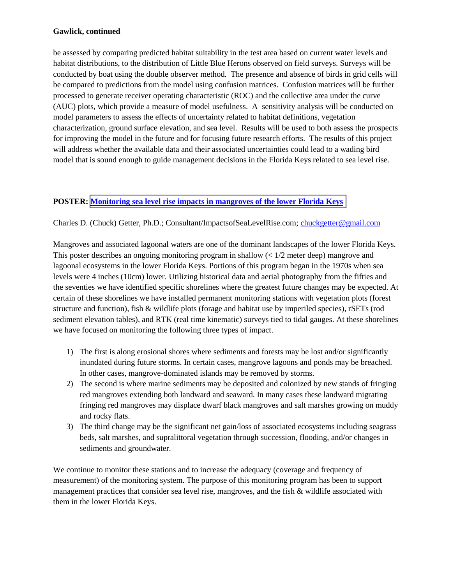#### **Gawlick, continued**

be assessed by comparing predicted habitat suitability in the test area based on current water levels and habitat distributions, to the distribution of Little Blue Herons observed on field surveys. Surveys will be conducted by boat using the double observer method. The presence and absence of birds in grid cells will be compared to predictions from the model using confusion matrices. Confusion matrices will be further processed to generate receiver operating characteristic (ROC) and the collective area under the curve (AUC) plots, which provide a measure of model usefulness. A sensitivity analysis will be conducted on model parameters to assess the effects of uncertainty related to habitat definitions, vegetation characterization, ground surface elevation, and sea level. Results will be used to both assess the prospects for improving the model in the future and for focusing future research efforts. The results of this project will address whether the available data and their associated uncertainties could lead to a wading bird model that is sound enough to guide management decisions in the Florida Keys related to sea level rise.

## **POSTER: [Monitoring sea level rise impacts in mangroves of the lower Florida Keys](Poster PDFs/Getter-Poster Session SLR Impacts on Mangroves.pdf)**

Charles D. (Chuck) Getter, Ph.D.; Consultant/ImpactsofSeaLevelRise.com; [chuckgetter@gmail.com](mailto:chuckgetter@gmail.com)

Mangroves and associated lagoonal waters are one of the dominant landscapes of the lower Florida Keys. This poster describes an ongoing monitoring program in shallow  $\left($  <  $1/2$  meter deep) mangrove and lagoonal ecosystems in the lower Florida Keys. Portions of this program began in the 1970s when sea levels were 4 inches (10cm) lower. Utilizing historical data and aerial photography from the fifties and the seventies we have identified specific shorelines where the greatest future changes may be expected. At certain of these shorelines we have installed permanent monitoring stations with vegetation plots (forest structure and function), fish & wildlife plots (forage and habitat use by imperiled species), rSETs (rod sediment elevation tables), and RTK (real time kinematic) surveys tied to tidal gauges. At these shorelines we have focused on monitoring the following three types of impact.

- 1) The first is along erosional shores where sediments and forests may be lost and/or significantly inundated during future storms. In certain cases, mangrove lagoons and ponds may be breached. In other cases, mangrove-dominated islands may be removed by storms.
- 2) The second is where marine sediments may be deposited and colonized by new stands of fringing red mangroves extending both landward and seaward. In many cases these landward migrating fringing red mangroves may displace dwarf black mangroves and salt marshes growing on muddy and rocky flats.
- 3) The third change may be the significant net gain/loss of associated ecosystems including seagrass beds, salt marshes, and supralittoral vegetation through succession, flooding, and/or changes in sediments and groundwater.

We continue to monitor these stations and to increase the adequacy (coverage and frequency of measurement) of the monitoring system. The purpose of this monitoring program has been to support management practices that consider sea level rise, mangroves, and the fish & wildlife associated with them in the lower Florida Keys.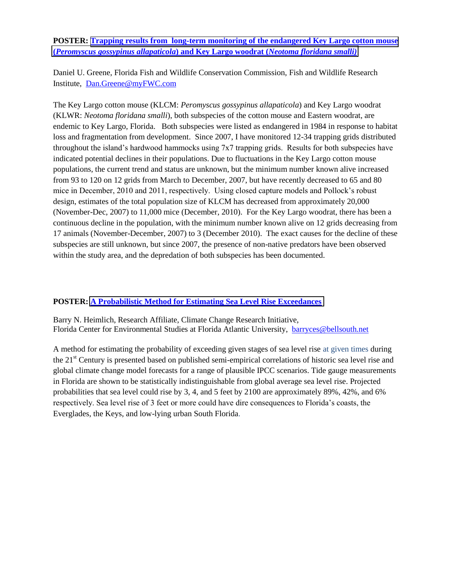# **POSTER: [Trapping results from long-term monitoring of the endangered Key Largo cotton mouse](Poster%20PDFs/Greene%20and%20Gore%20-%20Key%20Largo%20cotton%20mouse%20and%20woodrat.pdf)  (***[Peromyscus gossypinus allapaticola](Poster%20PDFs/Greene%20and%20Gore%20-%20Key%20Largo%20cotton%20mouse%20and%20woodrat.pdf)***) and Key Largo woodrat (***Neotoma floridana smalli)*

Daniel U. Greene, Florida Fish and Wildlife Conservation Commission, Fish and Wildlife Research Institute, [Dan.Greene@myFWC.com](mailto:Dan.Greene@myFWC.com)

The Key Largo cotton mouse (KLCM: *Peromyscus gossypinus allapaticola*) and Key Largo woodrat (KLWR: *Neotoma floridana smalli*), both subspecies of the cotton mouse and Eastern woodrat, are endemic to Key Largo, Florida. Both subspecies were listed as endangered in 1984 in response to habitat loss and fragmentation from development. Since 2007, I have monitored 12-34 trapping grids distributed throughout the island"s hardwood hammocks using 7x7 trapping grids. Results for both subspecies have indicated potential declines in their populations. Due to fluctuations in the Key Largo cotton mouse populations, the current trend and status are unknown, but the minimum number known alive increased from 93 to 120 on 12 grids from March to December, 2007, but have recently decreased to 65 and 80 mice in December, 2010 and 2011, respectively. Using closed capture models and Pollock"s robust design, estimates of the total population size of KLCM has decreased from approximately 20,000 (November-Dec, 2007) to 11,000 mice (December, 2010). For the Key Largo woodrat, there has been a continuous decline in the population, with the minimum number known alive on 12 grids decreasing from 17 animals (November-December, 2007) to 3 (December 2010). The exact causes for the decline of these subspecies are still unknown, but since 2007, the presence of non-native predators have been observed within the study area, and the depredation of both subspecies has been documented.

# **POSTER: [A Probabilistic Method for Estimating Sea Level Rise Exceedances](Poster%20PDFs/Heimlich%20Probabilistic%20Forecast%20Sea%20Level%20Rise.pdf)**

Barry N. Heimlich, Research Affiliate, Climate Change Research Initiative, Florida Center for Environmental Studies at Florida Atlantic University, [barryces@bellsouth.net](file:///C:/Users/Barry%20Heimlich/AppData/Local/Microsoft/Windows/Temporary%20Internet%20Files/Content.Outlook/421DAMMS/barryces@bellsouth.net)

A method for estimating the probability of exceeding given stages of sea level rise at given times during the 21st Century is presented based on published semi-empirical correlations of historic sea level rise and global climate change model forecasts for a range of plausible IPCC scenarios. Tide gauge measurements in Florida are shown to be statistically indistinguishable from global average sea level rise. Projected probabilities that sea level could rise by 3, 4, and 5 feet by 2100 are approximately 89%, 42%, and 6% respectively. Sea level rise of 3 feet or more could have dire consequences to Florida's coasts, the Everglades, the Keys, and low-lying urban South Florida.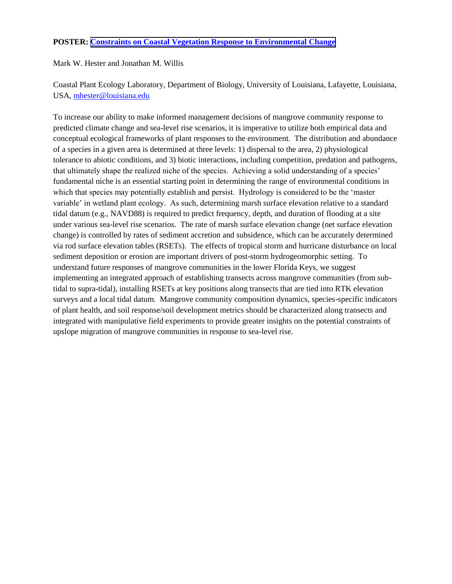# **POSTER: [Constraints on Coastal Vegetation Response to Environmental Change](Poster%20PDFs/Hester%20RSET%20Elevation%20Climate%20Change%5b1%5d.pdf)**

Mark W. Hester and Jonathan M. Willis

Coastal Plant Ecology Laboratory, Department of Biology, University of Louisiana, Lafayette, Louisiana, USA, [mhester@louisiana.edu](mailto:mhester@louisiana.edu)

To increase our ability to make informed management decisions of mangrove community response to predicted climate change and sea-level rise scenarios, it is imperative to utilize both empirical data and conceptual ecological frameworks of plant responses to the environment. The distribution and abundance of a species in a given area is determined at three levels: 1) dispersal to the area, 2) physiological tolerance to abiotic conditions, and 3) biotic interactions, including competition, predation and pathogens, that ultimately shape the realized niche of the species. Achieving a solid understanding of a species" fundamental niche is an essential starting point in determining the range of environmental conditions in which that species may potentially establish and persist. Hydrology is considered to be the "master variable" in wetland plant ecology. As such, determining marsh surface elevation relative to a standard tidal datum (e.g., NAVD88) is required to predict frequency, depth, and duration of flooding at a site under various sea-level rise scenarios. The rate of marsh surface elevation change (net surface elevation change) is controlled by rates of sediment accretion and subsidence, which can be accurately determined via rod surface elevation tables (RSETs). The effects of tropical storm and hurricane disturbance on local sediment deposition or erosion are important drivers of post-storm hydrogeomorphic setting. To understand future responses of mangrove communities in the lower Florida Keys, we suggest implementing an integrated approach of establishing transects across mangrove communities (from subtidal to supra-tidal), installing RSETs at key positions along transects that are tied into RTK elevation surveys and a local tidal datum. Mangrove community composition dynamics, species-specific indicators of plant health, and soil response/soil development metrics should be characterized along transects and integrated with manipulative field experiments to provide greater insights on the potential constraints of upslope migration of mangrove communities in response to sea-level rise.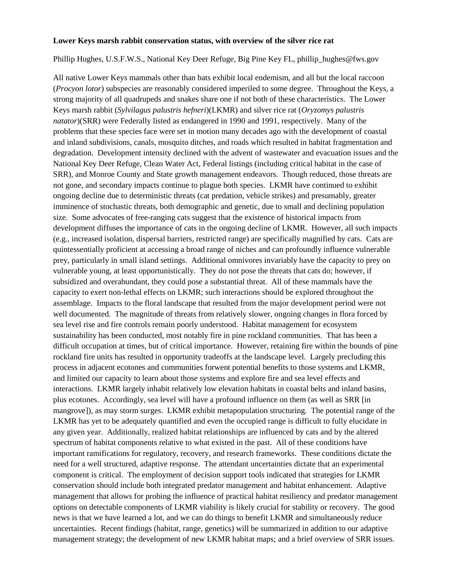#### **Lower Keys marsh rabbit conservation status, with overview of the silver rice rat**

Phillip Hughes, U.S.F.W.S., National Key Deer Refuge, Big Pine Key FL, phillip\_hughes@fws.gov

All native Lower Keys mammals other than bats exhibit local endemism, and all but the local raccoon (*Procyon lotor*) subspecies are reasonably considered imperiled to some degree. Throughout the Keys, a strong majority of all quadrupeds and snakes share one if not both of these characteristics. The Lower Keys marsh rabbit (*Sylvilagus palustris hefneri*)(LKMR) and silver rice rat (*Oryzomys palustris natator*)(SRR) were Federally listed as endangered in 1990 and 1991, respectively. Many of the problems that these species face were set in motion many decades ago with the development of coastal and inland subdivisions, canals, mosquito ditches, and roads which resulted in habitat fragmentation and degradation. Development intensity declined with the advent of wastewater and evacuation issues and the National Key Deer Refuge, Clean Water Act, Federal listings (including critical habitat in the case of SRR), and Monroe County and State growth management endeavors. Though reduced, those threats are not gone, and secondary impacts continue to plague both species. LKMR have continued to exhibit ongoing decline due to deterministic threats (cat predation, vehicle strikes) and presumably, greater imminence of stochastic threats, both demographic and genetic, due to small and declining population size. Some advocates of free-ranging cats suggest that the existence of historical impacts from development diffuses the importance of cats in the ongoing decline of LKMR. However, all such impacts (e.g., increased isolation, dispersal barriers, restricted range) are specifically magnified by cats. Cats are quintessentially proficient at accessing a broad range of niches and can profoundly influence vulnerable prey, particularly in small island settings. Additional omnivores invariably have the capacity to prey on vulnerable young, at least opportunistically. They do not pose the threats that cats do; however, if subsidized and overabundant, they could pose a substantial threat. All of these mammals have the capacity to exert non-lethal effects on LKMR; such interactions should be explored throughout the assemblage. Impacts to the floral landscape that resulted from the major development period were not well documented. The magnitude of threats from relatively slower, ongoing changes in flora forced by sea level rise and fire controls remain poorly understood. Habitat management for ecosystem sustainability has been conducted, most notably fire in pine rockland communities. That has been a difficult occupation at times, but of critical importance. However, retaining fire within the bounds of pine rockland fire units has resulted in opportunity tradeoffs at the landscape level. Largely precluding this process in adjacent ecotones and communities forwent potential benefits to those systems and LKMR, and limited our capacity to learn about those systems and explore fire and sea level effects and interactions. LKMR largely inhabit relatively low elevation habitats in coastal belts and inland basins, plus ecotones. Accordingly, sea level will have a profound influence on them (as well as SRR [in mangrove]), as may storm surges. LKMR exhibit metapopulation structuring. The potential range of the LKMR has yet to be adequately quantified and even the occupied range is difficult to fully elucidate in any given year. Additionally, realized habitat relationships are influenced by cats and by the altered spectrum of habitat components relative to what existed in the past. All of these conditions have important ramifications for regulatory, recovery, and research frameworks. These conditions dictate the need for a well structured, adaptive response. The attendant uncertainties dictate that an experimental component is critical. The employment of decision support tools indicated that strategies for LKMR conservation should include both integrated predator management and habitat enhancement. Adaptive management that allows for probing the influence of practical habitat resiliency and predator management options on detectable components of LKMR viability is likely crucial for stability or recovery. The good news is that we have learned a lot, and we can do things to benefit LKMR and simultaneously reduce uncertainties. Recent findings (habitat, range, genetics) will be summarized in addition to our adaptive management strategy; the development of new LKMR habitat maps; and a brief overview of SRR issues.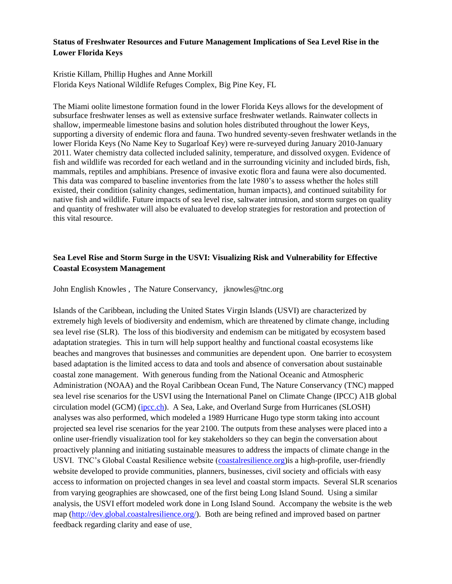# **Status of Freshwater Resources and Future Management Implications of Sea Level Rise in the Lower Florida Keys**

# Kristie Killam, Phillip Hughes and Anne Morkill Florida Keys National Wildlife Refuges Complex, Big Pine Key, FL

The Miami oolite limestone formation found in the lower Florida Keys allows for the development of subsurface freshwater lenses as well as extensive surface freshwater wetlands. Rainwater collects in shallow, impermeable limestone basins and solution holes distributed throughout the lower Keys, supporting a diversity of endemic flora and fauna. Two hundred seventy-seven freshwater wetlands in the lower Florida Keys (No Name Key to Sugarloaf Key) were re-surveyed during January 2010-January 2011. Water chemistry data collected included salinity, temperature, and dissolved oxygen. Evidence of fish and wildlife was recorded for each wetland and in the surrounding vicinity and included birds, fish, mammals, reptiles and amphibians. Presence of invasive exotic flora and fauna were also documented. This data was compared to baseline inventories from the late 1980"s to assess whether the holes still existed, their condition (salinity changes, sedimentation, human impacts), and continued suitability for native fish and wildlife. Future impacts of sea level rise, saltwater intrusion, and storm surges on quality and quantity of freshwater will also be evaluated to develop strategies for restoration and protection of this vital resource.

# **Sea Level Rise and Storm Surge in the USVI: Visualizing Risk and Vulnerability for Effective Coastal Ecosystem Management**

John English Knowles , The Nature Conservancy, jknowles@tnc.org

Islands of the Caribbean, including the United States Virgin Islands (USVI) are characterized by extremely high levels of biodiversity and endemism, which are threatened by climate change, including sea level rise (SLR). The loss of this biodiversity and endemism can be mitigated by ecosystem based adaptation strategies. This in turn will help support healthy and functional coastal ecosystems like beaches and mangroves that businesses and communities are dependent upon. One barrier to ecosystem based adaptation is the limited access to data and tools and absence of conversation about sustainable coastal zone management. With generous funding from the National Oceanic and Atmospheric Administration (NOAA) and the Royal Caribbean Ocean Fund, The Nature Conservancy (TNC) mapped sea level rise scenarios for the USVI using the International Panel on Climate Change (IPCC) A1B global circulation model (GCM) [\(ipcc.ch\)](http://www.ipcc.ch/). A Sea, Lake, and Overland Surge from Hurricanes (SLOSH) analyses was also performed, which modeled a 1989 Hurricane Hugo type storm taking into account projected sea level rise scenarios for the year 2100. The outputs from these analyses were placed into a online user-friendly visualization tool for key stakeholders so they can begin the conversation about proactively planning and initiating sustainable measures to address the impacts of climate change in the USVI. TNC"s Global Coastal Resilience website [\(coastalresilience.org\)](http://www.coastalresilience.org/)is a high-profile, user-friendly website developed to provide communities, planners, businesses, civil society and officials with easy access to information on projected changes in sea level and coastal storm impacts. Several SLR scenarios from varying geographies are showcased, one of the first being Long Island Sound. Using a similar analysis, the USVI effort modeled work done in Long Island Sound. Accompany the website is the web map [\(http://dev.global.coastalresilience.org/\)](http://dev.global.coastalresilience.org/). Both are being refined and improved based on partner feedback regarding clarity and ease of use.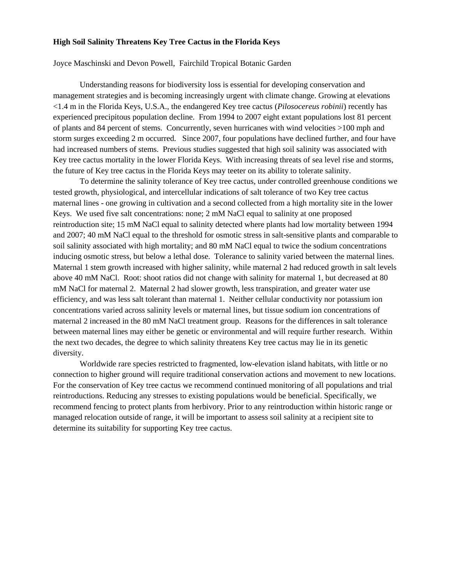#### **High Soil Salinity Threatens Key Tree Cactus in the Florida Keys**

Joyce Maschinski and Devon Powell, Fairchild Tropical Botanic Garden

Understanding reasons for biodiversity loss is essential for developing conservation and management strategies and is becoming increasingly urgent with climate change. Growing at elevations <1.4 m in the Florida Keys, U.S.A., the endangered Key tree cactus (*Pilosocereus robinii*) recently has experienced precipitous population decline. From 1994 to 2007 eight extant populations lost 81 percent of plants and 84 percent of stems. Concurrently, seven hurricanes with wind velocities >100 mph and storm surges exceeding 2 m occurred. Since 2007, four populations have declined further, and four have had increased numbers of stems. Previous studies suggested that high soil salinity was associated with Key tree cactus mortality in the lower Florida Keys. With increasing threats of sea level rise and storms, the future of Key tree cactus in the Florida Keys may teeter on its ability to tolerate salinity.

To determine the salinity tolerance of Key tree cactus, under controlled greenhouse conditions we tested growth, physiological, and intercellular indications of salt tolerance of two Key tree cactus maternal lines - one growing in cultivation and a second collected from a high mortality site in the lower Keys. We used five salt concentrations: none; 2 mM NaCl equal to salinity at one proposed reintroduction site; 15 mM NaCl equal to salinity detected where plants had low mortality between 1994 and 2007; 40 mM NaCl equal to the threshold for osmotic stress in salt-sensitive plants and comparable to soil salinity associated with high mortality; and 80 mM NaCl equal to twice the sodium concentrations inducing osmotic stress, but below a lethal dose. Tolerance to salinity varied between the maternal lines. Maternal 1 stem growth increased with higher salinity, while maternal 2 had reduced growth in salt levels above 40 mM NaCl. Root: shoot ratios did not change with salinity for maternal 1, but decreased at 80 mM NaCl for maternal 2. Maternal 2 had slower growth, less transpiration, and greater water use efficiency, and was less salt tolerant than maternal 1. Neither cellular conductivity nor potassium ion concentrations varied across salinity levels or maternal lines, but tissue sodium ion concentrations of maternal 2 increased in the 80 mM NaCl treatment group. Reasons for the differences in salt tolerance between maternal lines may either be genetic or environmental and will require further research. Within the next two decades, the degree to which salinity threatens Key tree cactus may lie in its genetic diversity.

Worldwide rare species restricted to fragmented, low-elevation island habitats, with little or no connection to higher ground will require traditional conservation actions and movement to new locations. For the conservation of Key tree cactus we recommend continued monitoring of all populations and trial reintroductions. Reducing any stresses to existing populations would be beneficial. Specifically, we recommend fencing to protect plants from herbivory. Prior to any reintroduction within historic range or managed relocation outside of range, it will be important to assess soil salinity at a recipient site to determine its suitability for supporting Key tree cactus.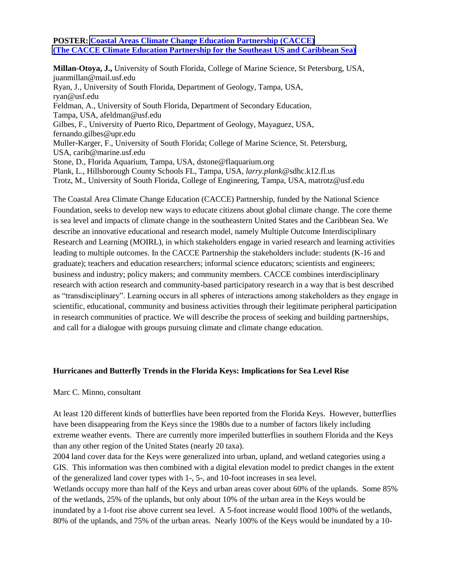#### **POSTER: [Coastal Areas Climate Change Education Partnership \(CACCE\)](Poster%20PDFs/Juan%20Millan%20CACCE.pdf) [\(The CACCE Climate Education Partnership for](Poster%20PDFs/Juan%20Millan%20CACCE.pdf) the Southeast US and Caribbean Sea)**

**Millan-Otoya, J.,** University of South Florida, College of Marine Science, St Petersburg, USA, juanmillan@mail.usf.edu Ryan, J., University of South Florida, Department of Geology, Tampa, USA, ryan@usf.edu Feldman, A., University of South Florida, Department of Secondary Education, Tampa, USA, afeldman@usf.edu Gilbes, F., University of Puerto Rico, Department of Geology, Mayaguez, USA, fernando.gilbes@upr.edu Muller-Karger, F., University of South Florida; College of Marine Science, St. Petersburg, USA, carib@marine.usf.edu Stone, D., Florida Aquarium, Tampa, USA, dstone@flaquarium.org Plank, L., Hillsborough County Schools FL, Tampa, USA, *larry.plank*@sdhc.k12.fl.us Trotz, M., University of South Florida, College of Engineering, Tampa, USA, matrotz@usf.edu

The Coastal Area Climate Change Education (CACCE) Partnership, funded by the National Science Foundation, seeks to develop new ways to educate citizens about global climate change. The core theme is sea level and impacts of climate change in the southeastern United States and the Caribbean Sea. We describe an innovative educational and research model, namely Multiple Outcome Interdisciplinary Research and Learning (MOIRL), in which stakeholders engage in varied research and learning activities leading to multiple outcomes. In the CACCE Partnership the stakeholders include: students (K-16 and graduate); teachers and education researchers; informal science educators; scientists and engineers; business and industry; policy makers; and community members. CACCE combines interdisciplinary research with action research and community-based participatory research in a way that is best described as "transdisciplinary". Learning occurs in all spheres of interactions among stakeholders as they engage in scientific, educational, community and business activities through their legitimate peripheral participation in research communities of practice. We will describe the process of seeking and building partnerships, and call for a dialogue with groups pursuing climate and climate change education.

#### **Hurricanes and Butterfly Trends in the Florida Keys: Implications for Sea Level Rise**

#### Marc C. Minno, consultant

At least 120 different kinds of butterflies have been reported from the Florida Keys. However, butterflies have been disappearing from the Keys since the 1980s due to a number of factors likely including extreme weather events. There are currently more imperiled butterflies in southern Florida and the Keys than any other region of the United States (nearly 20 taxa).

2004 land cover data for the Keys were generalized into urban, upland, and wetland categories using a GIS. This information was then combined with a digital elevation model to predict changes in the extent of the generalized land cover types with 1-, 5-, and 10-foot increases in sea level.

Wetlands occupy more than half of the Keys and urban areas cover about 60% of the uplands. Some 85% of the wetlands, 25% of the uplands, but only about 10% of the urban area in the Keys would be inundated by a 1-foot rise above current sea level. A 5-foot increase would flood 100% of the wetlands, 80% of the uplands, and 75% of the urban areas. Nearly 100% of the Keys would be inundated by a 10-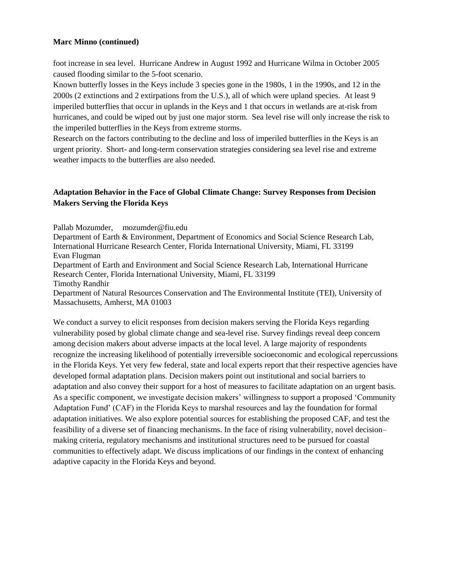#### **Marc Minno (continued)**

foot increase in sea level. Hurricane Andrew in August 1992 and Hurricane Wilma in October 2005 caused flooding similar to the 5-foot scenario.

Known butterfly losses in the Keys include 3 species gone in the 1980s, 1 in the 1990s, and 12 in the 2000s (2 extinctions and 2 extirpations from the U.S.), all of which were upland species. At least 9 imperiled butterflies that occur in uplands in the Keys and 1 that occurs in wetlands are at-risk from hurricanes, and could be wiped out by just one major storm. Sea level rise will only increase the risk to the imperiled butterflies in the Keys from extreme storms.

Research on the factors contributing to the decline and loss of imperiled butterflies in the Keys is an urgent priority. Short- and long-term conservation strategies considering sea level rise and extreme weather impacts to the butterflies are also needed.

# **Adaptation Behavior in the Face of Global Climate Change: Survey Responses from Decision Makers Serving the Florida Keys**

Pallab Mozumder, [mozumder@fiu.edu](mailto:mozumder@fiu.edu)

Department of Earth & Environment, Department of Economics and Social Science Research Lab, International Hurricane Research Center, Florida International University, Miami, FL 33199 Evan Flugman

Department of Earth and Environment and Social Science Research Lab, International Hurricane Research Center, Florida International University, Miami, FL 33199

Timothy Randhir

Department of Natural Resources Conservation and The Environmental Institute (TEI), University of Massachusetts, Amherst, MA 01003

We conduct a survey to elicit responses from decision makers serving the Florida Keys regarding vulnerability posed by global climate change and sea-level rise. Survey findings reveal deep concern among decision makers about adverse impacts at the local level. A large majority of respondents recognize the increasing likelihood of potentially irreversible socioeconomic and ecological repercussions in the Florida Keys. Yet very few federal, state and local experts report that their respective agencies have developed formal adaptation plans. Decision makers point out institutional and social barriers to adaptation and also convey their support for a host of measures to facilitate adaptation on an urgent basis. As a specific component, we investigate decision makers' willingness to support a proposed 'Community' Adaptation Fund" (CAF) in the Florida Keys to marshal resources and lay the foundation for formal adaptation initiatives. We also explore potential sources for establishing the proposed CAF, and test the feasibility of a diverse set of financing mechanisms. In the face of rising vulnerability, novel decision– making criteria, regulatory mechanisms and institutional structures need to be pursued for coastal communities to effectively adapt. We discuss implications of our findings in the context of enhancing adaptive capacity in the Florida Keys and beyond.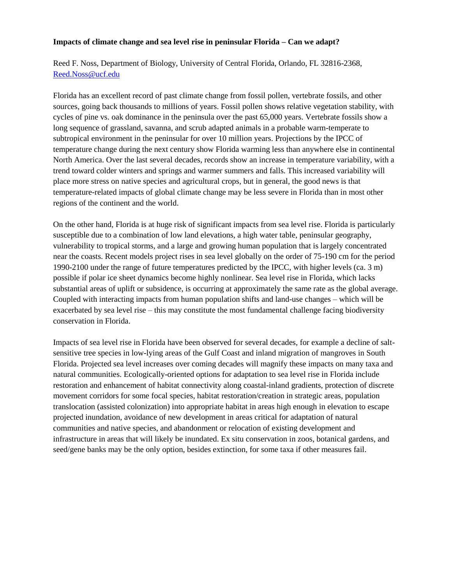#### **Impacts of climate change and sea level rise in peninsular Florida – Can we adapt?**

Reed F. Noss, Department of Biology, University of Central Florida, Orlando, FL 32816-2368, [Reed.Noss@ucf.edu](mailto:Reed.Noss@ucf.edu)

Florida has an excellent record of past climate change from fossil pollen, vertebrate fossils, and other sources, going back thousands to millions of years. Fossil pollen shows relative vegetation stability, with cycles of pine vs. oak dominance in the peninsula over the past 65,000 years. Vertebrate fossils show a long sequence of grassland, savanna, and scrub adapted animals in a probable warm-temperate to subtropical environment in the peninsular for over 10 million years. Projections by the IPCC of temperature change during the next century show Florida warming less than anywhere else in continental North America. Over the last several decades, records show an increase in temperature variability, with a trend toward colder winters and springs and warmer summers and falls. This increased variability will place more stress on native species and agricultural crops, but in general, the good news is that temperature-related impacts of global climate change may be less severe in Florida than in most other regions of the continent and the world.

On the other hand, Florida is at huge risk of significant impacts from sea level rise. Florida is particularly susceptible due to a combination of low land elevations, a high water table, peninsular geography, vulnerability to tropical storms, and a large and growing human population that is largely concentrated near the coasts. Recent models project rises in sea level globally on the order of 75-190 cm for the period 1990-2100 under the range of future temperatures predicted by the IPCC, with higher levels (ca. 3 m) possible if polar ice sheet dynamics become highly nonlinear. Sea level rise in Florida, which lacks substantial areas of uplift or subsidence, is occurring at approximately the same rate as the global average. Coupled with interacting impacts from human population shifts and land-use changes – which will be exacerbated by sea level rise – this may constitute the most fundamental challenge facing biodiversity conservation in Florida.

Impacts of sea level rise in Florida have been observed for several decades, for example a decline of saltsensitive tree species in low-lying areas of the Gulf Coast and inland migration of mangroves in South Florida. Projected sea level increases over coming decades will magnify these impacts on many taxa and natural communities. Ecologically-oriented options for adaptation to sea level rise in Florida include restoration and enhancement of habitat connectivity along coastal-inland gradients, protection of discrete movement corridors for some focal species, habitat restoration/creation in strategic areas, population translocation (assisted colonization) into appropriate habitat in areas high enough in elevation to escape projected inundation, avoidance of new development in areas critical for adaptation of natural communities and native species, and abandonment or relocation of existing development and infrastructure in areas that will likely be inundated. Ex situ conservation in zoos, botanical gardens, and seed/gene banks may be the only option, besides extinction, for some taxa if other measures fail.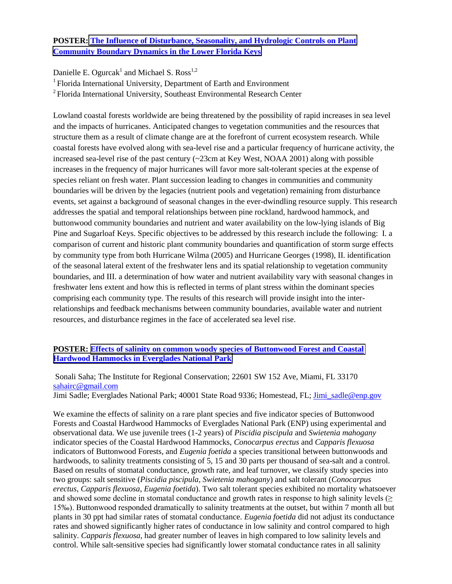# **POSTER: [The Influence of Disturbance, Seasonality, and Hydrologic Controls on Plant](Poster%20PDFs/Ogurcak_Plant_Community_Boundary_Dynamics_new.pdf)  [Community Boundary Dynamics in the Lower Florida Keys](Poster%20PDFs/Ogurcak_Plant_Community_Boundary_Dynamics_new.pdf)**

Danielle E. Ogurcak<sup>1</sup> and Michael S. Ross<sup>1,2</sup>

<sup>1</sup> Florida International University, Department of Earth and Environment

<sup>2</sup>Florida International University, Southeast Environmental Research Center

Lowland coastal forests worldwide are being threatened by the possibility of rapid increases in sea level and the impacts of hurricanes. Anticipated changes to vegetation communities and the resources that structure them as a result of climate change are at the forefront of current ecosystem research. While coastal forests have evolved along with sea-level rise and a particular frequency of hurricane activity, the increased sea-level rise of the past century (~23cm at Key West, NOAA 2001) along with possible increases in the frequency of major hurricanes will favor more salt-tolerant species at the expense of species reliant on fresh water. Plant succession leading to changes in communities and community boundaries will be driven by the legacies (nutrient pools and vegetation) remaining from disturbance events, set against a background of seasonal changes in the ever-dwindling resource supply. This research addresses the spatial and temporal relationships between pine rockland, hardwood hammock, and buttonwood community boundaries and nutrient and water availability on the low-lying islands of Big Pine and Sugarloaf Keys. Specific objectives to be addressed by this research include the following: I. a comparison of current and historic plant community boundaries and quantification of storm surge effects by community type from both Hurricane Wilma (2005) and Hurricane Georges (1998), II. identification of the seasonal lateral extent of the freshwater lens and its spatial relationship to vegetation community boundaries, and III. a determination of how water and nutrient availability vary with seasonal changes in freshwater lens extent and how this is reflected in terms of plant stress within the dominant species comprising each community type. The results of this research will provide insight into the interrelationships and feedback mechanisms between community boundaries, available water and nutrient resources, and disturbance regimes in the face of accelerated sea level rise.

# **POSTER: [Effects of salinity on common woody species of Buttonwood Forest and Coastal](Poster%20PDFs/SAHA%20SALINITY%20EFFECTS%20ON%20EVERGLADES%20TREES.pdf)  [Hardwood Hammocks in Everglades National Park](Poster%20PDFs/SAHA%20SALINITY%20EFFECTS%20ON%20EVERGLADES%20TREES.pdf)**

Sonali Saha; The Institute for Regional Conservation; 22601 SW 152 Ave, Miami, FL 33170 [sahairc@gmail.com](mailto:sahairc@gmail.com) Jimi Sadle; Everglades National Park; 40001 State Road 9336; Homestead, FL; [Jimi\\_sadle@enp.gov](mailto:Jimi_sadle@enp.gov)

We examine the effects of salinity on a rare plant species and five indicator species of Buttonwood Forests and Coastal Hardwood Hammocks of Everglades National Park (ENP) using experimental and observational data. We use juvenile trees (1-2 years) of *Piscidia piscipula* and *Swietenia mahogany* indicator species of the Coastal Hardwood Hammocks, *Conocarpus erectus* and *Capparis flexuosa* indicators of Buttonwood Forests, and *Eugenia foetida* a species transitional between buttonwoods and hardwoods, to salinity treatments consisting of 5, 15 and 30 parts per thousand of sea-salt and a control. Based on results of stomatal conductance, growth rate, and leaf turnover, we classify study species into two groups: salt sensitive (*Piscidia piscipula, Swietenia mahogany*) and salt tolerant (*Conocarpus erectus*, *Capparis flexuosa*, *Eugenia foetida*). Two salt tolerant species exhibited no mortality whatsoever and showed some decline in stomatal conductance and growth rates in response to high salinity levels  $(\geq)$ 15‰). Buttonwood responded dramatically to salinity treatments at the outset, but within 7 month all but plants in 30 ppt had similar rates of stomatal conductance. *Eugenia foetida* did not adjust its conductance rates and showed significantly higher rates of conductance in low salinity and control compared to high salinity. *Capparis flexuosa*, had greater number of leaves in high compared to low salinity levels and control. While salt-sensitive species had significantly lower stomatal conductance rates in all salinity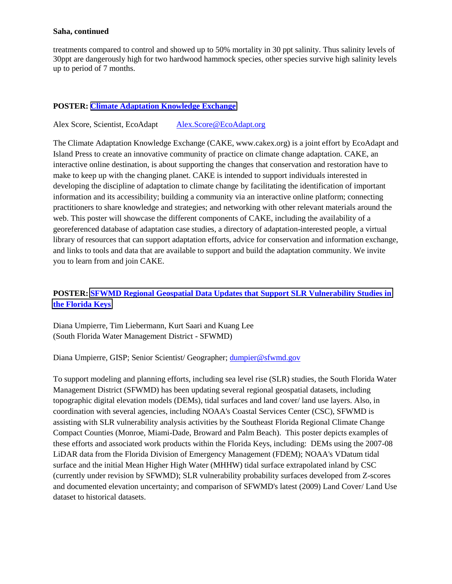#### **Saha, continued**

treatments compared to control and showed up to 50% mortality in 30 ppt salinity. Thus salinity levels of 30ppt are dangerously high for two hardwood hammock species, other species survive high salinity levels up to period of 7 months.

## **POSTER: [Climate Adaptation Knowledge Exchange](Poster%20PDFs/Score-Climate%20Adaptation%20Knowledge%20Exchange.pdf)**

Alex Score, Scientist, EcoAdapt [Alex.Score@EcoAdapt.org](mailto:Alex.Score@EcoAdapt.org)

The Climate Adaptation Knowledge Exchange (CAKE, www.cakex.org) is a joint effort by EcoAdapt and Island Press to create an innovative community of practice on climate change adaptation. CAKE, an interactive online destination, is about supporting the changes that conservation and restoration have to make to keep up with the changing planet. CAKE is intended to support individuals interested in developing the discipline of adaptation to climate change by facilitating the identification of important information and its accessibility; building a community via an interactive online platform; connecting practitioners to share knowledge and strategies; and networking with other relevant materials around the web. This poster will showcase the different components of CAKE, including the availability of a georeferenced database of adaptation case studies, a directory of adaptation-interested people, a virtual library of resources that can support adaptation efforts, advice for conservation and information exchange, and links to tools and data that are available to support and build the adaptation community. We invite you to learn from and join CAKE.

# **POSTER: [SFWMD Regional Geospatial Data Updates that Support SLR Vulnerability Studies in](Poster%20PDFs/Umpierre_WMD_RegDataSLRVulnFKeys.pdf)  [the Florida Keys](Poster%20PDFs/Umpierre_WMD_RegDataSLRVulnFKeys.pdf)**

Diana Umpierre, Tim Liebermann, Kurt Saari and Kuang Lee (South Florida Water Management District - SFWMD)

Diana Umpierre, GISP; Senior Scientist/ Geographer; [dumpier@sfwmd.gov](mailto:dumpier@sfwmd.gov)

To support modeling and planning efforts, including sea level rise (SLR) studies, the South Florida Water Management District (SFWMD) has been updating several regional geospatial datasets, including topographic digital elevation models (DEMs), tidal surfaces and land cover/ land use layers. Also, in coordination with several agencies, including NOAA's Coastal Services Center (CSC), SFWMD is assisting with SLR vulnerability analysis activities by the Southeast Florida Regional Climate Change Compact Counties (Monroe, Miami-Dade, Broward and Palm Beach). This poster depicts examples of these efforts and associated work products within the Florida Keys, including: DEMs using the 2007-08 LiDAR data from the Florida Division of Emergency Management (FDEM); NOAA's VDatum tidal surface and the initial Mean Higher High Water (MHHW) tidal surface extrapolated inland by CSC (currently under revision by SFWMD); SLR vulnerability probability surfaces developed from Z-scores and documented elevation uncertainty; and comparison of SFWMD's latest (2009) Land Cover/ Land Use dataset to historical datasets.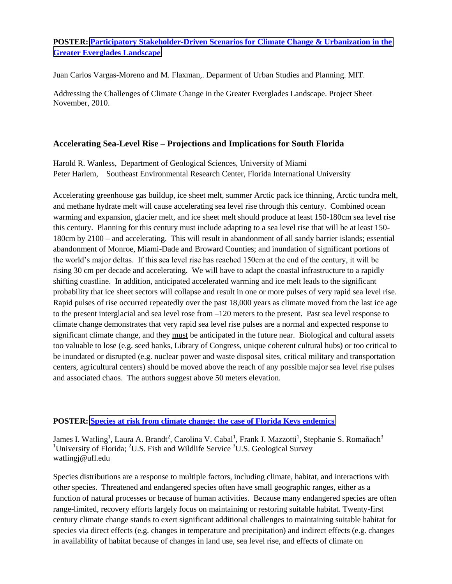# **POSTER: [Participatory Stakeholder-Driven Scenarios for Climate Change & Urbanization in the](Poster%20PDFs/juan%20carlos%20vargas%20poster.pdf)  [Greater Everglades Landscape](Poster%20PDFs/juan%20carlos%20vargas%20poster.pdf)**

Juan Carlos Vargas-Moreno and M. Flaxman,. Deparment of Urban Studies and Planning. MIT.

Addressing the Challenges of Climate Change in the Greater Everglades Landscape. Project Sheet November, 2010.

# **Accelerating Sea-Level Rise – Projections and Implications for South Florida**

Harold R. Wanless, Department of Geological Sciences, University of Miami Peter Harlem, Southeast Environmental Research Center, Florida International University

Accelerating greenhouse gas buildup, ice sheet melt, summer Arctic pack ice thinning, Arctic tundra melt, and methane hydrate melt will cause accelerating sea level rise through this century. Combined ocean warming and expansion, glacier melt, and ice sheet melt should produce at least 150-180cm sea level rise this century. Planning for this century must include adapting to a sea level rise that will be at least 150- 180cm by 2100 – and accelerating. This will result in abandonment of all sandy barrier islands; essential abandonment of Monroe, Miami-Dade and Broward Counties; and inundation of significant portions of the world"s major deltas. If this sea level rise has reached 150cm at the end of the century, it will be rising 30 cm per decade and accelerating. We will have to adapt the coastal infrastructure to a rapidly shifting coastline. In addition, anticipated accelerated warming and ice melt leads to the significant probability that ice sheet sectors will collapse and result in one or more pulses of very rapid sea level rise. Rapid pulses of rise occurred repeatedly over the past 18,000 years as climate moved from the last ice age to the present interglacial and sea level rose from –120 meters to the present. Past sea level response to climate change demonstrates that very rapid sea level rise pulses are a normal and expected response to significant climate change, and they must be anticipated in the future near. Biological and cultural assets too valuable to lose (e.g. seed banks, Library of Congress, unique coherent cultural hubs) or too critical to be inundated or disrupted (e.g. nuclear power and waste disposal sites, critical military and transportation centers, agricultural centers) should be moved above the reach of any possible major sea level rise pulses and associated chaos. The authors suggest above 50 meters elevation.

# **POSTER: [Species at risk from climate change: the case of Florida Keys endemics](Poster%20PDFs/WATLING_Keys_climate_envelope_models%5b1%5d.pdf)**

James I. Watling<sup>1</sup>, Laura A. Brandt<sup>2</sup>, Carolina V. Cabal<sup>1</sup>, Frank J. Mazzotti<sup>1</sup>, Stephanie S. Romañach<sup>3</sup> <sup>1</sup>University of Florida; <sup>2</sup>U.S. Fish and Wildlife Service <sup>3</sup>U.S. Geological Survey [watlingj@ufl.edu](mailto:watlingj@ufl.edu)

Species distributions are a response to multiple factors, including climate, habitat, and interactions with other species. Threatened and endangered species often have small geographic ranges, either as a function of natural processes or because of human activities. Because many endangered species are often range-limited, recovery efforts largely focus on maintaining or restoring suitable habitat. Twenty-first century climate change stands to exert significant additional challenges to maintaining suitable habitat for species via direct effects (e.g. changes in temperature and precipitation) and indirect effects (e.g. changes in availability of habitat because of changes in land use, sea level rise, and effects of climate on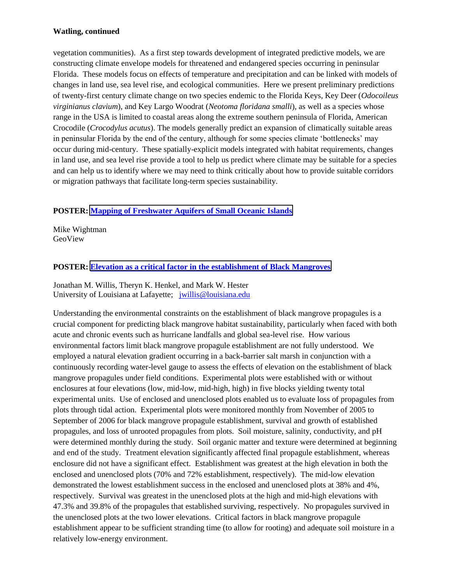## **Watling, continued**

vegetation communities). As a first step towards development of integrated predictive models, we are constructing climate envelope models for threatened and endangered species occurring in peninsular Florida. These models focus on effects of temperature and precipitation and can be linked with models of changes in land use, sea level rise, and ecological communities. Here we present preliminary predictions of twenty-first century climate change on two species endemic to the Florida Keys, Key Deer (*Odocoileus virginianus clavium*), and Key Largo Woodrat (*Neotoma floridana smalli*), as well as a species whose range in the USA is limited to coastal areas along the extreme southern peninsula of Florida, American Crocodile (*Crocodylus acutus*). The models generally predict an expansion of climatically suitable areas in peninsular Florida by the end of the century, although for some species climate "bottlenecks" may occur during mid-century. These spatially-explicit models integrated with habitat requirements, changes in land use, and sea level rise provide a tool to help us predict where climate may be suitable for a species and can help us to identify where we may need to think critically about how to provide suitable corridors or migration pathways that facilitate long-term species sustainability.

# **POSTER: [Mapping of Freshwater Aquifers of Small Oceanic Islands](Poster%20PDFs/wightman-BPK-freshwater%20mapping.pdf)**

Mike Wightman GeoView

## **POSTER: [Elevation as a critical factor in the establishment of Black Mangroves](Poster%20PDFs/Willis%20Black%20Mangrove%20Propagule%20Establishment.pdf)**

Jonathan M. Willis, Theryn K. Henkel, and Mark W. Hester University of Louisiana at Lafayette; [jwillis@louisiana.edu](mailto:jwillis@louisiana.edu)

Understanding the environmental constraints on the establishment of black mangrove propagules is a crucial component for predicting black mangrove habitat sustainability, particularly when faced with both acute and chronic events such as hurricane landfalls and global sea-level rise. How various environmental factors limit black mangrove propagule establishment are not fully understood. We employed a natural elevation gradient occurring in a back-barrier salt marsh in conjunction with a continuously recording water-level gauge to assess the effects of elevation on the establishment of black mangrove propagules under field conditions. Experimental plots were established with or without enclosures at four elevations (low, mid-low, mid-high, high) in five blocks yielding twenty total experimental units. Use of enclosed and unenclosed plots enabled us to evaluate loss of propagules from plots through tidal action. Experimental plots were monitored monthly from November of 2005 to September of 2006 for black mangrove propagule establishment, survival and growth of established propagules, and loss of unrooted propagules from plots. Soil moisture, salinity, conductivity, and pH were determined monthly during the study. Soil organic matter and texture were determined at beginning and end of the study. Treatment elevation significantly affected final propagule establishment, whereas enclosure did not have a significant effect. Establishment was greatest at the high elevation in both the enclosed and unenclosed plots (70% and 72% establishment, respectively). The mid-low elevation demonstrated the lowest establishment success in the enclosed and unenclosed plots at 38% and 4%, respectively. Survival was greatest in the unenclosed plots at the high and mid-high elevations with 47.3% and 39.8% of the propagules that established surviving, respectively. No propagules survived in the unenclosed plots at the two lower elevations. Critical factors in black mangrove propagule establishment appear to be sufficient stranding time (to allow for rooting) and adequate soil moisture in a relatively low-energy environment.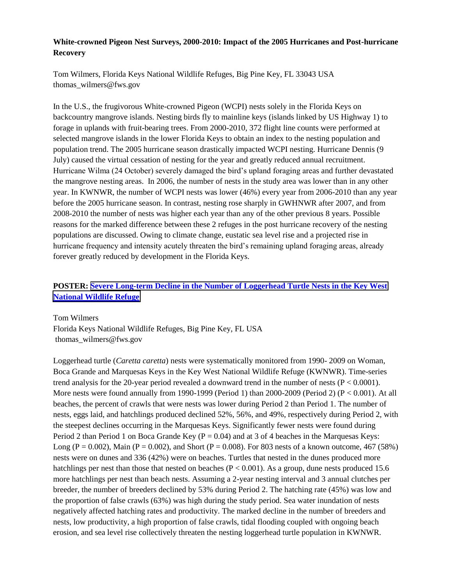# **White-crowned Pigeon Nest Surveys, 2000-2010: Impact of the 2005 Hurricanes and Post-hurricane Recovery**

Tom Wilmers, Florida Keys National Wildlife Refuges, Big Pine Key, FL 33043 USA thomas\_wilmers@fws.gov

In the U.S., the frugivorous White-crowned Pigeon (WCPI) nests solely in the Florida Keys on backcountry mangrove islands. Nesting birds fly to mainline keys (islands linked by US Highway 1) to forage in uplands with fruit-bearing trees. From 2000-2010, 372 flight line counts were performed at selected mangrove islands in the lower Florida Keys to obtain an index to the nesting population and population trend. The 2005 hurricane season drastically impacted WCPI nesting. Hurricane Dennis (9 July) caused the virtual cessation of nesting for the year and greatly reduced annual recruitment. Hurricane Wilma (24 October) severely damaged the bird"s upland foraging areas and further devastated the mangrove nesting areas. In 2006, the number of nests in the study area was lower than in any other year. In KWNWR, the number of WCPI nests was lower (46%) every year from 2006-2010 than any year before the 2005 hurricane season. In contrast, nesting rose sharply in GWHNWR after 2007, and from 2008-2010 the number of nests was higher each year than any of the other previous 8 years. Possible reasons for the marked difference between these 2 refuges in the post hurricane recovery of the nesting populations are discussed. Owing to climate change, eustatic sea level rise and a projected rise in hurricane frequency and intensity acutely threaten the bird"s remaining upland foraging areas, already forever greatly reduced by development in the Florida Keys.

# **POSTER: [Severe Long-term Decline in the Number of Loggerhead Turtle Nests in the Key West](Poster%20PDFs/Wilmers%20-%20Loggerhead%20Turtle%20Poster%20Presentation.pdf)  [National Wildlife](Poster%20PDFs/Wilmers%20-%20Loggerhead%20Turtle%20Poster%20Presentation.pdf) Refuge**

Tom Wilmers Florida Keys National Wildlife Refuges, Big Pine Key, FL USA thomas\_wilmers@fws.gov

Loggerhead turtle (*Caretta caretta*) nests were systematically monitored from 1990- 2009 on Woman, Boca Grande and Marquesas Keys in the Key West National Wildlife Refuge (KWNWR). Time-series trend analysis for the 20-year period revealed a downward trend in the number of nests ( $P < 0.0001$ ). More nests were found annually from 1990-1999 (Period 1) than 2000-2009 (Period 2) ( $P < 0.001$ ). At all beaches, the percent of crawls that were nests was lower during Period 2 than Period 1. The number of nests, eggs laid, and hatchlings produced declined 52%, 56%, and 49%, respectively during Period 2, with the steepest declines occurring in the Marquesas Keys. Significantly fewer nests were found during Period 2 than Period 1 on Boca Grande Key ( $P = 0.04$ ) and at 3 of 4 beaches in the Marquesas Keys: Long (P = 0.002), Main (P = 0.002), and Short (P = 0.008). For 803 nests of a known outcome, 467 (58%) nests were on dunes and 336 (42%) were on beaches. Turtles that nested in the dunes produced more hatchlings per nest than those that nested on beaches ( $P < 0.001$ ). As a group, dune nests produced 15.6 more hatchlings per nest than beach nests. Assuming a 2-year nesting interval and 3 annual clutches per breeder, the number of breeders declined by 53% during Period 2. The hatching rate (45%) was low and the proportion of false crawls (63%) was high during the study period. Sea water inundation of nests negatively affected hatching rates and productivity. The marked decline in the number of breeders and nests, low productivity, a high proportion of false crawls, tidal flooding coupled with ongoing beach erosion, and sea level rise collectively threaten the nesting loggerhead turtle population in KWNWR.